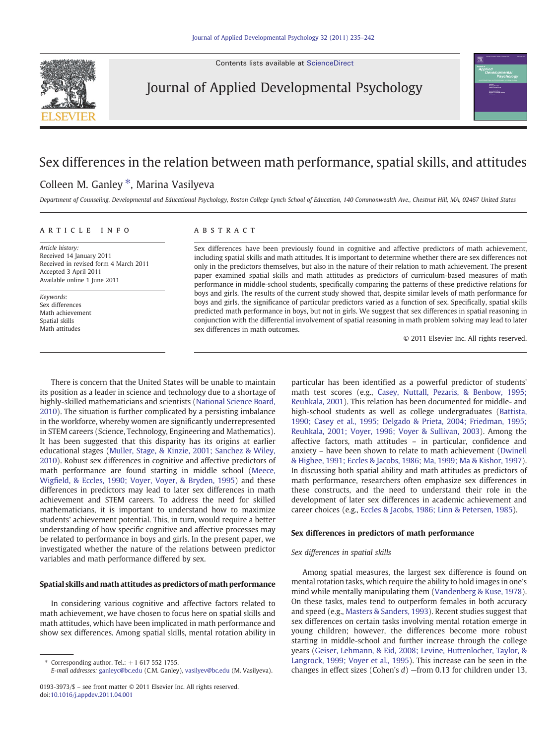Contents lists available at [ScienceDirect](http://www.sciencedirect.com/science/journal/01933973)



Journal of Applied Developmental Psychology

# Sex differences in the relation between math performance, spatial skills, and attitudes

## Colleen M. Ganley \*, Marina Vasilyeva

Department of Counseling, Developmental and Educational Psychology, Boston College Lynch School of Education, 140 Commonwealth Ave., Chestnut Hill, MA, 02467 United States

#### article info abstract

Article history: Received 14 January 2011 Received in revised form 4 March 2011 Accepted 3 April 2011 Available online 1 June 2011

Keywords: Sex differences Math achievement Spatial skills Math attitudes

Sex differences have been previously found in cognitive and affective predictors of math achievement, including spatial skills and math attitudes. It is important to determine whether there are sex differences not only in the predictors themselves, but also in the nature of their relation to math achievement. The present paper examined spatial skills and math attitudes as predictors of curriculum-based measures of math performance in middle-school students, specifically comparing the patterns of these predictive relations for boys and girls. The results of the current study showed that, despite similar levels of math performance for boys and girls, the significance of particular predictors varied as a function of sex. Specifically, spatial skills predicted math performance in boys, but not in girls. We suggest that sex differences in spatial reasoning in conjunction with the differential involvement of spatial reasoning in math problem solving may lead to later sex differences in math outcomes.

© 2011 Elsevier Inc. All rights reserved.

There is concern that the United States will be unable to maintain its position as a leader in science and technology due to a shortage of highly-skilled mathematicians and scientists ([National Science Board,](#page--1-0) [2010\)](#page--1-0). The situation is further complicated by a persisting imbalance in the workforce, whereby women are significantly underrepresented in STEM careers (Science, Technology, Engineering and Mathematics). It has been suggested that this disparity has its origins at earlier educational stages ([Muller, Stage, & Kinzie, 2001; Sanchez & Wiley,](#page--1-0) [2010\)](#page--1-0). Robust sex differences in cognitive and affective predictors of math performance are found starting in middle school [\(Meece,](#page--1-0) Wigfi[eld, & Eccles, 1990; Voyer, Voyer, & Bryden, 1995](#page--1-0)) and these differences in predictors may lead to later sex differences in math achievement and STEM careers. To address the need for skilled mathematicians, it is important to understand how to maximize students' achievement potential. This, in turn, would require a better understanding of how specific cognitive and affective processes may be related to performance in boys and girls. In the present paper, we investigated whether the nature of the relations between predictor variables and math performance differed by sex.

#### Spatial skills and math attitudes as predictors of math performance

In considering various cognitive and affective factors related to math achievement, we have chosen to focus here on spatial skills and math attitudes, which have been implicated in math performance and show sex differences. Among spatial skills, mental rotation ability in

particular has been identified as a powerful predictor of students' math test scores (e.g., [Casey, Nuttall, Pezaris, & Benbow, 1995;](#page--1-0) [Reuhkala, 2001](#page--1-0)). This relation has been documented for middle- and high-school students as well as college undergraduates [\(Battista,](#page--1-0) [1990; Casey et al., 1995; Delgado & Prieta, 2004; Friedman, 1995;](#page--1-0) [Reuhkala, 2001; Voyer, 1996; Voyer & Sullivan, 2003](#page--1-0)). Among the affective factors, math attitudes – in particular, confidence and anxiety – have been shown to relate to math achievement [\(Dwinell](#page--1-0) [& Higbee, 1991; Eccles & Jacobs, 1986; Ma, 1999; Ma & Kishor, 1997](#page--1-0)). In discussing both spatial ability and math attitudes as predictors of math performance, researchers often emphasize sex differences in these constructs, and the need to understand their role in the development of later sex differences in academic achievement and career choices (e.g., [Eccles & Jacobs, 1986; Linn & Petersen, 1985](#page--1-0)).

### Sex differences in predictors of math performance

#### Sex differences in spatial skills

Among spatial measures, the largest sex difference is found on mental rotation tasks, which require the ability to hold images in one's mind while mentally manipulating them [\(Vandenberg & Kuse, 1978](#page--1-0)). On these tasks, males tend to outperform females in both accuracy and speed (e.g., [Masters & Sanders, 1993\)](#page--1-0). Recent studies suggest that sex differences on certain tasks involving mental rotation emerge in young children; however, the differences become more robust starting in middle-school and further increase through the college years ([Geiser, Lehmann, & Eid, 2008; Levine, Huttenlocher, Taylor, &](#page--1-0) [Langrock, 1999; Voyer et al., 1995](#page--1-0)). This increase can be seen in the changes in effect sizes (Cohen's d) —from 0.13 for children under 13,

 $*$  Corresponding author. Tel.:  $+1$  617 552 1755.

E-mail addresses: [ganleyc@bc.edu](mailto:ganleyc@bc.edu) (C.M. Ganley), [vasilyev@bc.edu](mailto:vasilyev@bc.edu) (M. Vasilyeva).

<sup>0193-3973/\$</sup> – see front matter © 2011 Elsevier Inc. All rights reserved. doi:[10.1016/j.appdev.2011.04.001](http://dx.doi.org/10.1016/j.appdev.2011.04.001)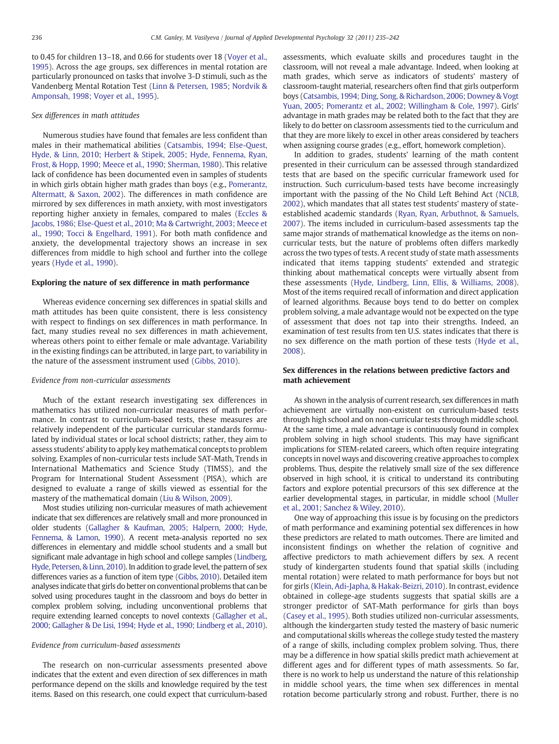to 0.45 for children 13–18, and 0.66 for students over 18 [\(Voyer et al.,](#page--1-0) [1995\)](#page--1-0). Across the age groups, sex differences in mental rotation are particularly pronounced on tasks that involve 3-D stimuli, such as the Vandenberg Mental Rotation Test [\(Linn & Petersen, 1985; Nordvik &](#page--1-0) [Amponsah, 1998; Voyer et al., 1995\)](#page--1-0).

#### Sex differences in math attitudes

Numerous studies have found that females are less confident than males in their mathematical abilities [\(Catsambis, 1994; Else-Quest,](#page--1-0) [Hyde, & Linn, 2010; Herbert & Stipek, 2005; Hyde, Fennema, Ryan,](#page--1-0) [Frost, & Hopp, 1990; Meece et al., 1990; Sherman, 1980](#page--1-0)). This relative lack of confidence has been documented even in samples of students in which girls obtain higher math grades than boys (e.g., [Pomerantz,](#page--1-0) [Altermatt, & Saxon, 2002](#page--1-0)). The differences in math confidence are mirrored by sex differences in math anxiety, with most investigators reporting higher anxiety in females, compared to males ([Eccles &](#page--1-0) [Jacobs, 1986; Else-Quest et al., 2010; Ma & Cartwright, 2003; Meece et](#page--1-0) [al., 1990; Tocci & Engelhard, 1991](#page--1-0)). For both math confidence and anxiety, the developmental trajectory shows an increase in sex differences from middle to high school and further into the college years ([Hyde et al., 1990](#page--1-0)).

#### Exploring the nature of sex difference in math performance

Whereas evidence concerning sex differences in spatial skills and math attitudes has been quite consistent, there is less consistency with respect to findings on sex differences in math performance. In fact, many studies reveal no sex differences in math achievement, whereas others point to either female or male advantage. Variability in the existing findings can be attributed, in large part, to variability in the nature of the assessment instrument used [\(Gibbs, 2010](#page--1-0)).

#### Evidence from non-curricular assessments

Much of the extant research investigating sex differences in mathematics has utilized non-curricular measures of math performance. In contrast to curriculum-based tests, these measures are relatively independent of the particular curricular standards formulated by individual states or local school districts; rather, they aim to assess students' ability to apply key mathematical concepts to problem solving. Examples of non-curricular tests include SAT-Math, Trends in International Mathematics and Science Study (TIMSS), and the Program for International Student Assessment (PISA), which are designed to evaluate a range of skills viewed as essential for the mastery of the mathematical domain ([Liu & Wilson, 2009](#page--1-0)).

Most studies utilizing non-curricular measures of math achievement indicate that sex differences are relatively small and more pronounced in older students [\(Gallagher & Kaufman, 2005; Halpern, 2000; Hyde,](#page--1-0) [Fennema, & Lamon, 1990](#page--1-0)). A recent meta-analysis reported no sex differences in elementary and middle school students and a small but significant male advantage in high school and college samples ([Lindberg,](#page--1-0) [Hyde, Petersen, & Linn, 2010\)](#page--1-0). In addition to grade level, the pattern of sex differences varies as a function of item type [\(Gibbs, 2010\)](#page--1-0). Detailed item analyses indicate that girls do better on conventional problems that can be solved using procedures taught in the classroom and boys do better in complex problem solving, including unconventional problems that require extending learned concepts to novel contexts ([Gallagher et al.,](#page--1-0) [2000; Gallagher & De Lisi, 1994; Hyde](#page--1-0) et al., 1990; Lindberg et al., 2010).

### Evidence from curriculum-based assessments

The research on non-curricular assessments presented above indicates that the extent and even direction of sex differences in math performance depend on the skills and knowledge required by the test items. Based on this research, one could expect that curriculum-based assessments, which evaluate skills and procedures taught in the classroom, will not reveal a male advantage. Indeed, when looking at math grades, which serve as indicators of students' mastery of classroom-taught material, researchers often find that girls outperform boys [\(Catsambis, 1994; Ding, Song, & Richardson, 2006; Downey & Vogt](#page--1-0) [Yuan, 2005; Pomerantz et al., 2002; Willingham & Cole, 1997](#page--1-0)). Girls' advantage in math grades may be related both to the fact that they are likely to do better on classroom assessments tied to the curriculum and that they are more likely to excel in other areas considered by teachers when assigning course grades (e.g., effort, homework completion).

In addition to grades, students' learning of the math content presented in their curriculum can be assessed through standardized tests that are based on the specific curricular framework used for instruction. Such curriculum-based tests have become increasingly important with the passing of the No Child Left Behind Act ([NCLB,](#page--1-0) [2002\)](#page--1-0), which mandates that all states test students' mastery of stateestablished academic standards [\(Ryan, Ryan, Arbuthnot, & Samuels,](#page--1-0) [2007\)](#page--1-0). The items included in curriculum-based assessments tap the same major strands of mathematical knowledge as the items on noncurricular tests, but the nature of problems often differs markedly across the two types of tests. A recent study of state math assessments indicated that items tapping students' extended and strategic thinking about mathematical concepts were virtually absent from these assessments [\(Hyde, Lindberg, Linn, Ellis, & Williams, 2008](#page--1-0)). Most of the items required recall of information and direct application of learned algorithms. Because boys tend to do better on complex problem solving, a male advantage would not be expected on the type of assessment that does not tap into their strengths. Indeed, an examination of test results from ten U.S. states indicates that there is no sex difference on the math portion of these tests [\(Hyde et al.,](#page--1-0) [2008\)](#page--1-0).

#### Sex differences in the relations between predictive factors and math achievement

As shown in the analysis of current research, sex differences in math achievement are virtually non-existent on curriculum-based tests through high school and on non-curricular tests through middle school. At the same time, a male advantage is continuously found in complex problem solving in high school students. This may have significant implications for STEM-related careers, which often require integrating concepts in novel ways and discovering creative approaches to complex problems. Thus, despite the relatively small size of the sex difference observed in high school, it is critical to understand its contributing factors and explore potential precursors of this sex difference at the earlier developmental stages, in particular, in middle school [\(Muller](#page--1-0) [et al., 2001; Sanchez & Wiley, 2010](#page--1-0)).

One way of approaching this issue is by focusing on the predictors of math performance and examining potential sex differences in how these predictors are related to math outcomes. There are limited and inconsistent findings on whether the relation of cognitive and affective predictors to math achievement differs by sex. A recent study of kindergarten students found that spatial skills (including mental rotation) were related to math performance for boys but not for girls ([Klein, Adi-Japha, & Hakak-Beizri, 2010](#page--1-0)). In contrast, evidence obtained in college-age students suggests that spatial skills are a stronger predictor of SAT-Math performance for girls than boys [\(Casey et al., 1995\)](#page--1-0). Both studies utilized non-curricular assessments, although the kindergarten study tested the mastery of basic numeric and computational skills whereas the college study tested the mastery of a range of skills, including complex problem solving. Thus, there may be a difference in how spatial skills predict math achievement at different ages and for different types of math assessments. So far, there is no work to help us understand the nature of this relationship in middle school years, the time when sex differences in mental rotation become particularly strong and robust. Further, there is no